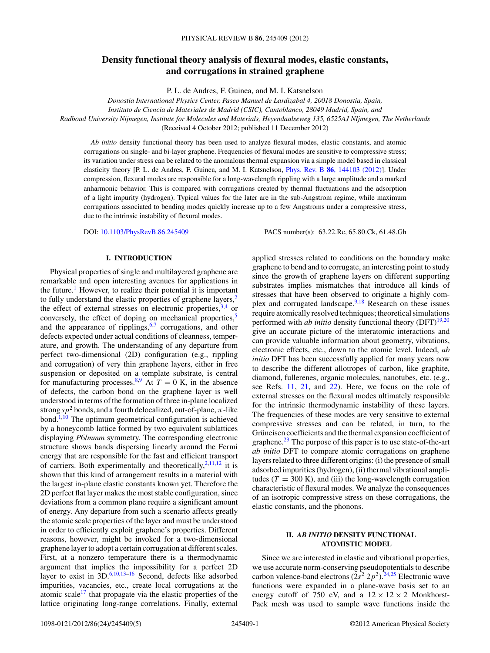# **Density functional theory analysis of flexural modes, elastic constants, and corrugations in strained graphene**

P. L. de Andres, F. Guinea, and M. I. Katsnelson

*Donostia International Physics Center, Paseo Manuel de Lardizabal 4, 20018 Donostia, Spain,*

*Instituto de Ciencia de Materiales de Madrid (CSIC), Cantoblanco, 28049 Madrid, Spain, and*

*Radboud University Nijmegen, Institute for Molecules and Materials, Heyendaalseweg 135, 6525AJ NIjmegen, The Netherlands*

(Received 4 October 2012; published 11 December 2012)

*Ab initio* density functional theory has been used to analyze flexural modes, elastic constants, and atomic corrugations on single- and bi-layer graphene. Frequencies of flexural modes are sensitive to compressive stress; its variation under stress can be related to the anomalous thermal expansion via a simple model based in classical elasticity theory [P. L. de Andres, F. Guinea, and M. I. Katsnelson, Phys. Rev. B **86**[, 144103 \(2012\)\]](http://dx.doi.org/10.1103/PhysRevB.86.144103). Under compression, flexural modes are responsible for a long-wavelength rippling with a large amplitude and a marked anharmonic behavior. This is compared with corrugations created by thermal fluctuations and the adsorption of a light impurity (hydrogen). Typical values for the later are in the sub-Angstrom regime, while maximum corrugations associated to bending modes quickly increase up to a few Angstroms under a compressive stress, due to the intrinsic instability of flexural modes.

DOI: [10.1103/PhysRevB.86.245409](http://dx.doi.org/10.1103/PhysRevB.86.245409) PACS number(s): 63*.*22*.*Rc, 65*.*80*.*Ck, 61*.*48*.*Gh

# **I. INTRODUCTION**

Physical properties of single and multilayered graphene are remarkable and open interesting avenues for applications in the future.<sup>[1](#page-4-0)</sup> However, to realize their potential it is important to fully understand the elastic properties of graphene layers, $<sup>2</sup>$  $<sup>2</sup>$  $<sup>2</sup>$ </sup> the effect of external stresses on electronic properties,  $3,4$  or conversely, the effect of doping on mechanical properties,<sup>5</sup> and the appearance of ripplings,  $6,7$  corrugations, and other defects expected under actual conditions of cleanness, temperature, and growth. The understanding of any departure from perfect two-dimensional (2D) configuration (e.g., rippling and corrugation) of very thin graphene layers, either in free suspension or deposited on a template substrate, is central for manufacturing processes.<sup>8,9</sup> At  $T = 0$  K, in the absence of defects, the carbon bond on the graphene layer is well understood in terms of the formation of three in-plane localized strong  $s p^2$  bonds, and a fourth delocalized, out-of-plane,  $\pi$ -like bond.<sup> $1,10$ </sup> The optimum geometrical configuration is achieved by a honeycomb lattice formed by two equivalent sublattices displaying *P*6/*mmm* symmetry. The corresponding electronic structure shows bands dispersing linearly around the Fermi energy that are responsible for the fast and efficient transport of carriers. Both experimentally and theoretically,  $2,11,12$  it is shown that this kind of arrangement results in a material with the largest in-plane elastic constants known yet. Therefore the 2D perfect flat layer makes the most stable configuration, since deviations from a common plane require a significant amount of energy. Any departure from such a scenario affects greatly the atomic scale properties of the layer and must be understood in order to efficiently exploit graphene's properties. Different reasons, however, might be invoked for a two-dimensional graphene layer to adopt a certain corrugation at different scales. First, at a nonzero temperature there is a thermodynamic argument that implies the impossibility for a perfect 2D layer to exist in  $3D^{6,10,13-16}$  Second, defects like adsorbed impurities, vacancies, etc., create local corrugations at the atomic scale<sup>17</sup> that propagate via the elastic properties of the lattice originating long-range correlations. Finally, external applied stresses related to conditions on the boundary make graphene to bend and to corrugate, an interesting point to study since the growth of graphene layers on different supporting substrates implies mismatches that introduce all kinds of stresses that have been observed to originate a highly complex and corrugated landscape. $9,18$  Research on these issues require atomically resolved techniques; theoretical simulations performed with *ab initio* density functional theory  $(DFT)^{19,20}$  $(DFT)^{19,20}$  $(DFT)^{19,20}$ give an accurate picture of the interatomic interactions and can provide valuable information about geometry, vibrations, electronic effects, etc., down to the atomic level. Indeed, *ab initio* DFT has been successfully applied for many years now to describe the different allotropes of carbon, like graphite, diamond, fullerenes, organic molecules, nanotubes, etc. (e.g., see Refs. [11,](#page-4-0) [21,](#page-4-0) and [22\)](#page-4-0). Here, we focus on the role of external stresses on the flexural modes ultimately responsible for the intrinsic thermodynamic instability of these layers. The frequencies of these modes are very sensitive to external compressive stresses and can be related, in turn, to the Grüneisen coefficients and the thermal expansion coefficient of graphene. $^{23}$  The purpose of this paper is to use state-of-the-art *ab initio* DFT to compare atomic corrugations on graphene layers related to three different origins: (i) the presence of small adsorbed impurities (hydrogen), (ii) thermal vibrational amplitudes ( $T = 300$  K), and (iii) the long-wavelength corrugation characteristic of flexural modes. We analyze the consequences of an isotropic compressive stress on these corrugations, the elastic constants, and the phonons.

# **II.** *AB INITIO* **DENSITY FUNCTIONAL ATOMISTIC MODEL**

Since we are interested in elastic and vibrational properties, we use accurate norm-conserving pseudopotentials to describe carbon valence-band electrons  $(2s^2 2p^2)$ .<sup>24,25</sup> Electronic wave functions were expanded in a plane-wave basis set to an energy cutoff of 750 eV, and a  $12 \times 12 \times 2$  Monkhorst-Pack mesh was used to sample wave functions inside the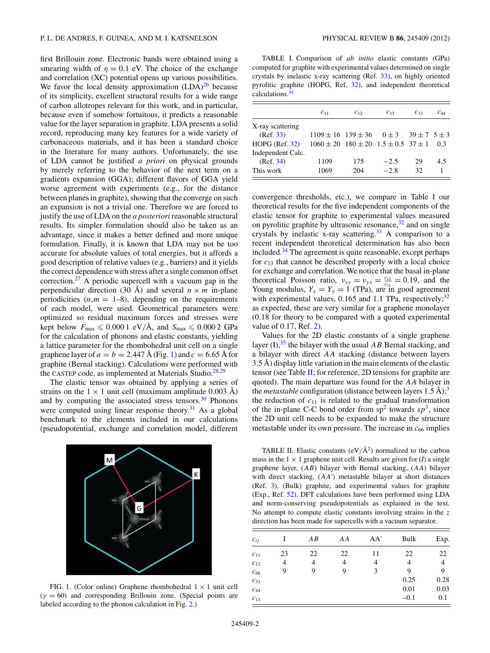<span id="page-1-0"></span>first Brillouin zone. Electronic bands were obtained using a smearing width of  $\eta = 0.1$  eV. The choice of the exchange and correlation (XC) potential opens up various possibilities. We favor the local density approximation  $(LDA)^{26}$  $(LDA)^{26}$  $(LDA)^{26}$  because of its simplicity, excellent structural results for a wide range of carbon allotropes relevant for this work, and in particular, because even if somehow fortuitous, it predicts a reasonable value for the layer separation in graphite. LDA presents a solid record, reproducing many key features for a wide variety of carbonaceous materials, and it has been a standard choice in the literature for many authors. Unfortunately, the use of LDA cannot be justified *a priori* on physical grounds by merely referring to the behavior of the next term on a gradients expansion (GGA); different flavors of GGA yield worse agreement with experiments (e.g., for the distance between planes in graphite), showing that the converge on such an expansion is not a trivial one. Therefore we are forced to justify the use of LDA on the *a posteriori* reasonable structural results. Its simpler formulation should also be taken as an advantage, since it makes a better defined and more unique formulation. Finally, it is known that LDA may not be too accurate for absolute values of total energies, but it affords a good description of relative values (e.g., barriers) and it yields the correct dependence with stress after a single common offset correction.<sup>[27](#page-4-0)</sup> A periodic supercell with a vacuum gap in the perpendicular direction (30 Å) and several  $n \times m$  in-plane periodicities  $(n,m = 1-8)$ , depending on the requirements of each model, were used. Geometrical parameters were optimized so residual maximum forces and stresses were kept below  $F_{\text{max}} \leqslant 0.0001 \text{ eV/A}$ , and  $S_{\text{max}} \leqslant 0.0002 \text{ GPa}$ for the calculation of phonons and elastic constants, yielding a lattice parameter for the rhombohedral unit cell on a single graphene layer of  $a = b = 2.447 \text{ Å}$  (Fig. 1) and  $c = 6.65 \text{ Å}$  for graphite (Bernal stacking). Calculations were performed with the CASTEP code, as implemented at Materials Studio. $28,29$ 

The elastic tensor was obtained by applying a series of strains on the  $1 \times 1$  unit cell (maximum amplitude 0.003 Å) and by computing the associated stress tensors. $30$  Phonons were computed using linear response theory. $31$  As a global benchmark to the elements included in our calculations (pseudopotential, exchange and correlation model, different



FIG. 1. (Color online) Graphene rhombohedral  $1 \times 1$  unit cell  $(\gamma = 60)$  and corresponding Brillouin zone. (Special points are labeled according to the phonon calculation in Fig. [2.](#page-2-0))

TABLE I. Comparison of *ab initio* elastic constants (GPa) computed for graphite with experimental values determined on single crystals by inelastic x-ray scattering (Ref. [33\)](#page-4-0), on highly oriented pyrolitic graphite (HOPG, Ref. [32\)](#page-4-0), and independent theoretical calculations[.34](#page-4-0)

|                     | $c_{11}$                                                  | $C_{12}$ | $C_{13}$ | $C_{33}$ | $c_{44}$ |
|---------------------|-----------------------------------------------------------|----------|----------|----------|----------|
| X-ray scattering    |                                                           |          |          |          |          |
| (Ref. 33)           | $1109 \pm 16$ $139 \pm 36$ $0 \pm 3$ $39 \pm 7$ $5 \pm 3$ |          |          |          |          |
| $HOPG$ (Ref. $32$ ) | $1060 \pm 20$ $180 \pm 20$ $1.5 \pm 0.5$ $37 \pm 1$       |          |          |          | 0.3      |
| Independent Calc.   |                                                           |          |          |          |          |
| (Ref. 34)           | 1109                                                      | 175      | $-2.5$   | 29       | 4.5      |
| This work           | 1069                                                      | 204      | $-2.8$   | 32       |          |

convergence thresholds, etc.), we compare in Table I our theoretical results for the five independent components of the elastic tensor for graphite to experimental values measured on pyrolitic graphite by ultrasonic resonance,  $32$  and on single crystals by inelastic x-ray scattering. $33$  A comparison to a recent independent theoretical determination has also been included. $34$  The agreement is quite reasonable, except perhaps for *c*<sup>13</sup> that cannot be described properly with a local choice for exchange and correlation. We notice that the basal in-plane theoretical Poisson ratio,  $v_{xy} = v_{yx} = \frac{c_{12}}{c_{11}} = 0.19$ , and the Young modulus,  $Y_x = Y_y = 1$  (TPa), are in good agreement with experimental values, 0.165 and 1.1 TPa, respectively;<sup>[32](#page-4-0)</sup> as expected, these are very similar for a graphene monolayer (0*.*18 for theory to be compared with a quoted experimental value of 0.17, Ref. [2\)](#page-4-0).

Values for the 2D elastic constants of a single graphene layer  $(I)$ ,<sup>[35](#page-4-0)</sup>, the bilayer with the usual *AB* Bernal stacking, and a bilayer with direct *AA* stacking (distance between layers  $3.5 \text{ Å}$ ) display little variation in the main elements of the elastic tensor (see Table II; for reference, 2D tensions for graphite are quoted). The main departure was found for the *AA* bilayer in the *metastable* configuration (distance between layers  $1.5 \text{ Å}$ );<sup>[3](#page-4-0)</sup> the reduction of  $c_{11}$  is related to the gradual transformation of the in-plane C-C bond order from  $sp^2$  towards  $sp^3$ , since the 2D unit cell needs to be expanded to make the structure metastable under its own pressure. The increase in  $c_{66}$  implies

TABLE II. Elastic constants  $(eV/\mathring{A}^2)$  normalized to the carbon mass in the  $1 \times 1$  graphene unit cell. Results are given for (*I*) a single graphene layer, (*AB*) bilayer with Bernal stacking, (*AA*) bilayer with direct stacking,  $(AA')$  metastable bilayer at short distances (Ref. [3\)](#page-4-0), (Bulk) graphite, and experimental values for graphite (Exp., Ref. [52\)](#page-4-0). DFT calculations have been performed using LDA and norm-conserving pseudopotentials as explained in the text. No attempt to compute elastic constants involving strains in the *z* direction has been made for supercells with a vacuum separator.

| $c_{ij}$ |    | ΑB | AA | AA' | Bulk   | Exp. |
|----------|----|----|----|-----|--------|------|
| $c_{11}$ | 23 | 22 | 22 | 11  | 22     | 22   |
| $c_{12}$ | 4  | 4  | 4  | 4   | 4      | 4    |
| $c_{66}$ | 9  | 9  | 9  | 3   | 9      | 9    |
| $c_{33}$ |    |    |    |     | 0.25   | 0.28 |
| $C_{44}$ |    |    |    |     | 0.01   | 0.03 |
| $c_{13}$ |    |    |    |     | $-0.1$ | 0.1  |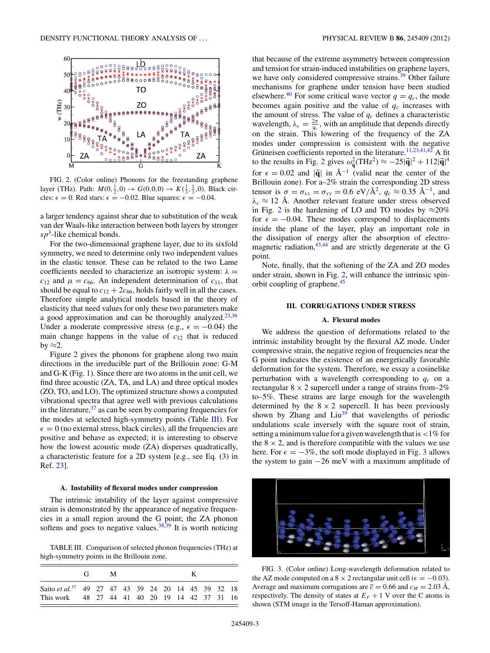<span id="page-2-0"></span>

FIG. 2. (Color online) Phonons for the freestanding graphene layer (THz). Path:  $M(0, \frac{1}{2}, 0) \to G(0, 0, 0) \to K(\frac{1}{3}, \frac{2}{3}, 0)$ . Black circles:  $\epsilon = 0$ . Red stars:  $\epsilon = -0.02$ . Blue squares:  $\epsilon = -0.04$ .

a larger tendency against shear due to substitution of the weak van der Waals-like interaction between both layers by stronger *sp*3-like chemical bonds.

For the two-dimensional graphene layer, due to its sixfold symmetry, we need to determine only two independent values in the elastic tensor. These can be related to the two Lame coefficients needed to characterize an isotropic system:  $\lambda =$  $c_{12}$  and  $\mu = c_{66}$ . An independent determination of  $c_{11}$ , that should be equal to  $c_{12} + 2c_{66}$ , holds fairly well in all the cases. Therefore simple analytical models based in the theory of elasticity that need values for only these two parameters make a good approximation and can be thoroughly analyzed.<sup>[23,36](#page-4-0)</sup> Under a moderate compressive stress (e.g.,  $\epsilon = -0.04$ ) the main change happens in the value of  $c_{12}$  that is reduced by  $\approx$ 2.

Figure 2 gives the phonons for graphene along two main directions in the irreducible part of the Brillouin zone: G-M and G-K (Fig. [1\)](#page-1-0). Since there are two atoms in the unit cell, we find three acoustic (ZA, TA, and LA) and three optical modes (ZO, TO, and LO). The optimized structure shows a computed vibrational spectra that agree well with previous calculations in the literature,  $37$  as can be seen by comparing frequencies for the modes at selected high-symmetry points (Table III). For  $\epsilon = 0$  (no external stress, black circles), all the frequencies are positive and behave as expected; it is interesting to observe how the lowest acoustic mode (ZA) disperses quadratically, a characteristic feature for a 2D system [e.g., see Eq. (3) in Ref. [23\]](#page-4-0).

### **A. Instability of flexural modes under compression**

The intrinsic instability of the layer against compressive strain is demonstrated by the appearance of negative frequencies in a small region around the G point; the ZA phonon softens and goes to negative values. $38,39$  It is worth noticing

TABLE III. Comparison of selected phonon frequencies (THz) at high-symmetry points in the Brillouin zone.

|                                                                                                                 | $G_{\rm{L}}$ | M |  |  |  |  |  |
|-----------------------------------------------------------------------------------------------------------------|--------------|---|--|--|--|--|--|
| Saito et al. <sup>37</sup> 49 27 47 43 39 24 20 14 45 39 32 18<br>This work 48 27 44 41 40 20 19 14 42 37 31 16 |              |   |  |  |  |  |  |

that because of the extreme asymmetry between compression and tension for strain-induced instabilities on graphene layers, we have only considered compressive strains.<sup>39</sup> Other failure mechanisms for graphene under tension have been studied elsewhere.<sup>40</sup> For some critical wave vector  $q = q_c$ , the mode becomes again positive and the value of  $q_c$  increases with the amount of stress. The value of  $q_c$  defines a characteristic wavelength,  $\lambda_c = \frac{2\pi}{q_c}$ , with an amplitude that depends directly on the strain. This lowering of the frequency of the ZA modes under compression is consistent with the negative Gruneisen coefficients reported in the literature. <sup>[11,23,41,42](#page-4-0)</sup> A fit to the results in Fig. 2 gives  $\omega_{\vec{q}}^2 (THz^2) \approx -25|\vec{q}|^2 + 112|\vec{q}|^4$ for  $\epsilon = 0.02$  and  $|\vec{q}|$  in  $\AA^{-1}$  (valid near the center of the Brillouin zone). For a–2% strain the corresponding 2D stress tensor is  $\sigma = \sigma_{xx} = \sigma_{yy} = 0.6 \text{ eV/A}^2$ ,  $q_c \approx 0.35 \text{ Å}^{-1}$ , and  $\lambda_c \approx 12$  Å. Another relevant feature under stress observed in Fig. 2 is the hardening of LO and TO modes by  $\approx 20\%$ for  $\epsilon = -0.04$ . These modes correspond to displacements inside the plane of the layer, play an important role in the dissipation of energy after the absorption of electromagnetic radiation, $43,44$  and are strictly degenerate at the G point.

Note, finally, that the softening of the ZA and ZO modes under strain, shown in Fig. 2, will enhance the intrinsic spinorbit coupling of graphene.<sup>45</sup>

#### **III. CORRUGATIONS UNDER STRESS**

# **A. Flexural modes**

We address the question of deformations related to the intrinsic instability brought by the flexural AZ mode. Under compressive strain, the negative region of frequencies near the G point indicates the existence of an energetically favorable deformation for the system. Therefore, we essay a cosinelike perturbation with a wavelength corresponding to  $q_c$  on a rectangular  $8 \times 2$  supercell under a range of strains from–2% to–5%. These strains are large enough for the wavelength determined by the  $8 \times 2$  supercell. It has been previously shown by Zhang and  $\text{Li}u^{39}$  that wavelengths of periodic undulations scale inversely with the square root of strain, setting a minimum value for a given wavelength that is*<*1% for the  $8 \times 2$ , and is therefore compatible with the values we use here. For  $\epsilon = -3\%$ , the soft mode displayed in Fig. 3 allows the system to gain −26 meV with a maximum amplitude of



FIG. 3. (Color online) Long-wavelength deformation related to the AZ mode computed on a 8  $\times$  2 rectangular unit cell ( $\epsilon$  = -0.03). Average and maximum corrugations are  $\bar{c} = 0.66$  and  $c_M = 2.03$  Å, respectively. The density of states at  $E_F + 1$  V over the C atoms is shown (STM image in the Tersoff-Haman approximation).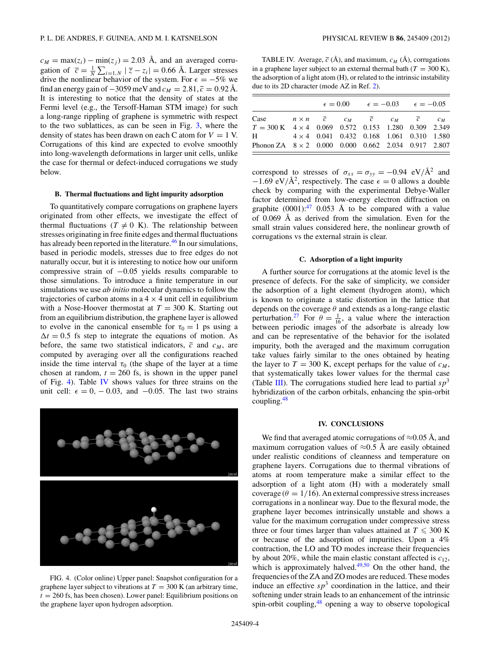$c_M = \max(z_i) - \min(z_i) = 2.03$  Å, and an averaged corrugation of  $\overline{c} = \frac{1}{N} \sum_{i=1,N} |\overline{z} - z_i| = 0.66$  Å. Larger stresses drive the nonlinear behavior of the system. For  $\epsilon = -5\%$  we find an energy gain of  $-3059$  meV and  $c_M = 2.81$ ,  $\bar{c} = 0.92$  Å. It is interesting to notice that the density of states at the Fermi level (e.g., the Tersoff-Haman STM image) for such a long-range rippling of graphene is symmetric with respect to the two sublattices, as can be seen in Fig. [3,](#page-2-0) where the density of states has been drawn on each C atom for  $V = 1$  V. Corrugations of this kind are expected to evolve smoothly into long-wavelength deformations in larger unit cells, unlike the case for thermal or defect-induced corrugations we study below.

### **B. Thermal fluctuations and light impurity adsorption**

To quantitatively compare corrugations on graphene layers originated from other effects, we investigate the effect of thermal fluctuations ( $T \neq 0$  K). The relationship between stresses originating in free finite edges and thermal fluctuations has already been reported in the literature.<sup>[46](#page-4-0)</sup> In our simulations, based in periodic models, stresses due to free edges do not naturally occur, but it is interesting to notice how our uniform compressive strain of −0*.*05 yields results comparable to those simulations. To introduce a finite temperature in our simulations we use *ab initio* molecular dynamics to follow the trajectories of carbon atoms in a  $4 \times 4$  unit cell in equilibrium with a Nose-Hoover thermostat at  $T = 300$  K. Starting out from an equilibrium distribution, the graphene layer is allowed to evolve in the canonical ensemble for  $\tau_0 = 1$  ps using a  $\Delta t = 0.5$  fs step to integrate the equations of motion. As before, the same two statistical indicators,  $\bar{c}$  and  $c_M$ , are computed by averaging over all the configurations reached inside the time interval  $\tau_0$  (the shape of the layer at a time chosen at random,  $t = 260$  fs, is shown in the upper panel of Fig. 4). Table IV shows values for three strains on the unit cell:  $\epsilon = 0, -0.03,$  and  $-0.05$ . The last two strains



FIG. 4. (Color online) Upper panel: Snapshot configuration for a graphene layer subject to vibrations at  $T = 300$  K (an arbitrary time,  $t = 260$  fs, has been chosen). Lower panel: Equilibrium positions on the graphene layer upon hydrogen adsorption.

TABLE IV. Average,  $\bar{c}$  ( $\AA$ ), and maximum,  $c_M$  ( $\AA$ ), corrugations in a graphene layer subject to an external thermal bath  $(T = 300 \text{ K})$ , the adsorption of a light atom (H), or related to the intrinsic instability due to its 2D character (mode AZ in Ref. [2\)](#page-2-0).

|                                                                                                                                                   |                                                  |  |  | $\epsilon = 0.00$ $\epsilon = -0.03$ $\epsilon = -0.05$ |  |
|---------------------------------------------------------------------------------------------------------------------------------------------------|--------------------------------------------------|--|--|---------------------------------------------------------|--|
| Case $n \times n$ $\overline{c}$ $c_M$ $\overline{c}$ $c_M$ $\overline{c}$ $c_M$<br>$T = 300 \text{ K}$ 4 × 4 0.069 0.572 0.153 1.280 0.309 2.349 |                                                  |  |  |                                                         |  |
| $H \sim$<br>Phonon ZA $8 \times 2$ 0.000 0.000 0.662 2.034 0.917 2.807                                                                            | $4 \times 4$ 0.041 0.432 0.168 1.061 0.310 1.580 |  |  |                                                         |  |

correspond to stresses of  $\sigma_{xx} = \sigma_{yy} = -0.94 \text{ eV}/\text{\AA}^2$  and  $-1.69 \text{ eV}/\text{\AA}^2$ , respectively. The case  $\epsilon = 0$  allows a double check by comparing with the experimental Debye-Waller factor determined from low-energy electron diffraction on graphite  $(0001)$ :<sup>47</sup> 0.053 Å to be compared with a value of 0.069 Å as derived from the simulation. Even for the small strain values considered here, the nonlinear growth of corrugations vs the external strain is clear.

### **C. Adsorption of a light impurity**

A further source for corrugations at the atomic level is the presence of defects. For the sake of simplicity, we consider the adsorption of a light element (hydrogen atom), which is known to originate a static distortion in the lattice that depends on the coverage *θ* and extends as a long-range elastic perturbation.<sup>27</sup> For  $\theta = \frac{1}{16}$ , a value where the interaction between periodic images of the adsorbate is already low and can be representative of the behavior for the isolated impurity, both the averaged and the maximum corrugation take values fairly similar to the ones obtained by heating the layer to  $T = 300$  K, except perhaps for the value of  $c_M$ , that systematically takes lower values for the thermal case (Table [III\)](#page-2-0). The corrugations studied here lead to partial  $sp^3$ hybridization of the carbon orbitals, enhancing the spin-orbit coupling.[48](#page-4-0)

#### **IV. CONCLUSIONS**

We find that averaged atomic corrugations of  $\approx 0.05$  Å, and maximum corrugation values of  $\approx 0.5$  Å are easily obtained under realistic conditions of cleanness and temperature on graphene layers. Corrugations due to thermal vibrations of atoms at room temperature make a similar effect to the adsorption of a light atom (H) with a moderately small coverage ( $\theta = 1/16$ ). An external compressive stress increases corrugations in a nonlinear way. Due to the flexural mode, the graphene layer becomes intrinsically unstable and shows a value for the maximum corrugation under compressive stress three or four times larger than values attained at  $T \leq 300$  K or because of the adsorption of impurities. Upon a 4% contraction, the LO and TO modes increase their frequencies by about 20%, while the main elastic constant affected is  $c_{12}$ , which is approximately halved. $49,50$  On the other hand, the frequencies of the ZA and ZO modes are reduced. These modes induce an effective  $sp^3$  coordination in the lattice, and their softening under strain leads to an enhancement of the intrinsic spin-orbit coupling[,48](#page-4-0) opening a way to observe topological